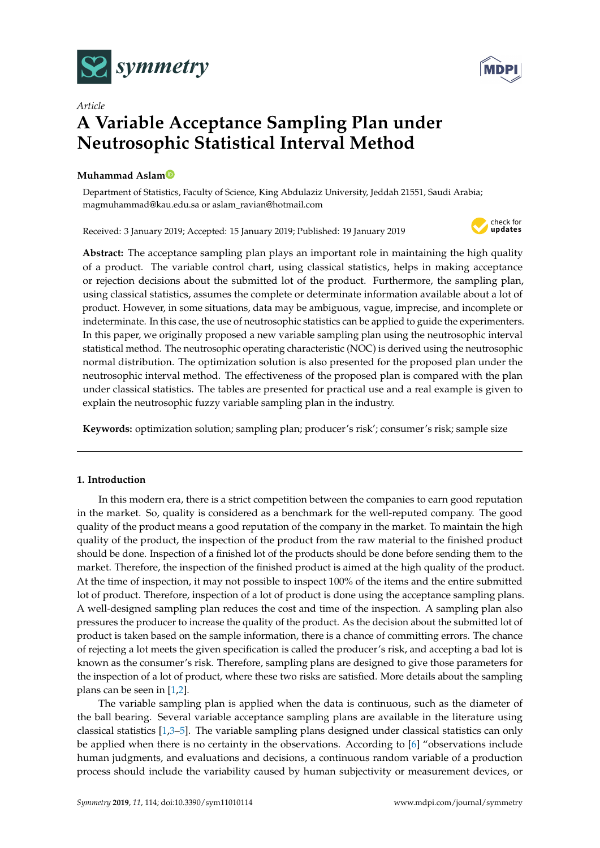



# *Article* **A Variable Acceptance Sampling Plan under Neutrosophic Statistical Interval Method**

# **Muhammad Asla[m](https://orcid.org/0000-0003-0644-1950)**

Department of Statistics, Faculty of Science, King Abdulaziz University, Jeddah 21551, Saudi Arabia; magmuhammad@kau.edu.sa or aslam\_ravian@hotmail.com

Received: 3 January 2019; Accepted: 15 January 2019; Published: 19 January 2019



**Abstract:** The acceptance sampling plan plays an important role in maintaining the high quality of a product. The variable control chart, using classical statistics, helps in making acceptance or rejection decisions about the submitted lot of the product. Furthermore, the sampling plan, using classical statistics, assumes the complete or determinate information available about a lot of product. However, in some situations, data may be ambiguous, vague, imprecise, and incomplete or indeterminate. In this case, the use of neutrosophic statistics can be applied to guide the experimenters. In this paper, we originally proposed a new variable sampling plan using the neutrosophic interval statistical method. The neutrosophic operating characteristic (NOC) is derived using the neutrosophic normal distribution. The optimization solution is also presented for the proposed plan under the neutrosophic interval method. The effectiveness of the proposed plan is compared with the plan under classical statistics. The tables are presented for practical use and a real example is given to explain the neutrosophic fuzzy variable sampling plan in the industry.

**Keywords:** optimization solution; sampling plan; producer's risk'; consumer's risk; sample size

# **1. Introduction**

In this modern era, there is a strict competition between the companies to earn good reputation in the market. So, quality is considered as a benchmark for the well-reputed company. The good quality of the product means a good reputation of the company in the market. To maintain the high quality of the product, the inspection of the product from the raw material to the finished product should be done. Inspection of a finished lot of the products should be done before sending them to the market. Therefore, the inspection of the finished product is aimed at the high quality of the product. At the time of inspection, it may not possible to inspect 100% of the items and the entire submitted lot of product. Therefore, inspection of a lot of product is done using the acceptance sampling plans. A well-designed sampling plan reduces the cost and time of the inspection. A sampling plan also pressures the producer to increase the quality of the product. As the decision about the submitted lot of product is taken based on the sample information, there is a chance of committing errors. The chance of rejecting a lot meets the given specification is called the producer's risk, and accepting a bad lot is known as the consumer's risk. Therefore, sampling plans are designed to give those parameters for the inspection of a lot of product, where these two risks are satisfied. More details about the sampling plans can be seen in [\[1,](#page-5-0)[2\]](#page-5-1).

The variable sampling plan is applied when the data is continuous, such as the diameter of the ball bearing. Several variable acceptance sampling plans are available in the literature using classical statistics [\[1](#page-5-0)[,3–](#page-5-2)[5\]](#page-5-3). The variable sampling plans designed under classical statistics can only be applied when there is no certainty in the observations. According to [\[6\]](#page-5-4) "observations include human judgments, and evaluations and decisions, a continuous random variable of a production process should include the variability caused by human subjectivity or measurement devices, or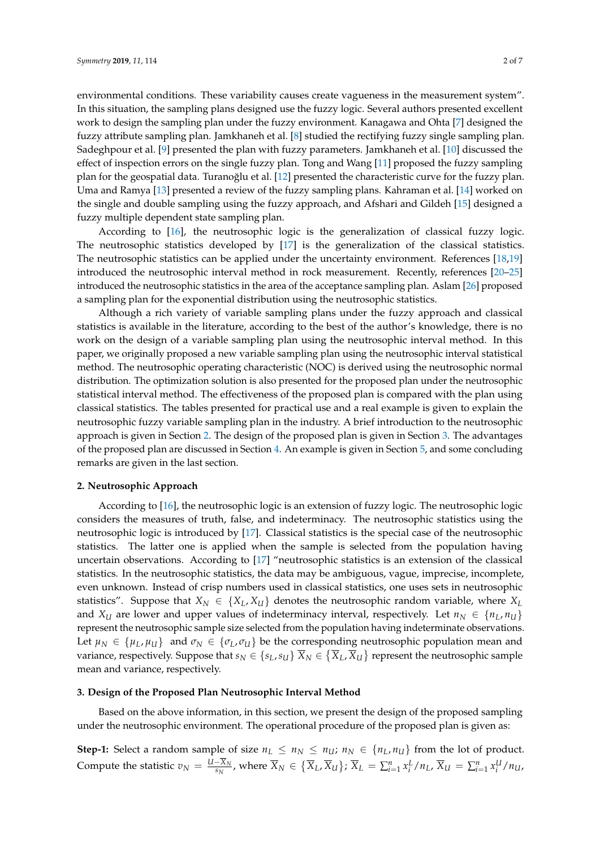environmental conditions. These variability causes create vagueness in the measurement system". In this situation, the sampling plans designed use the fuzzy logic. Several authors presented excellent work to design the sampling plan under the fuzzy environment. Kanagawa and Ohta [\[7\]](#page-5-5) designed the fuzzy attribute sampling plan. Jamkhaneh et al. [\[8\]](#page-5-6) studied the rectifying fuzzy single sampling plan. Sadeghpour et al. [\[9\]](#page-5-7) presented the plan with fuzzy parameters. Jamkhaneh et al. [\[10\]](#page-5-8) discussed the effect of inspection errors on the single fuzzy plan. Tong and Wang [\[11\]](#page-5-9) proposed the fuzzy sampling plan for the geospatial data. Turanoğlu et al. [\[12\]](#page-5-10) presented the characteristic curve for the fuzzy plan. Uma and Ramya [\[13\]](#page-5-11) presented a review of the fuzzy sampling plans. Kahraman et al. [\[14\]](#page-5-12) worked on the single and double sampling using the fuzzy approach, and Afshari and Gildeh [\[15\]](#page-5-13) designed a fuzzy multiple dependent state sampling plan.

According to [\[16\]](#page-6-0), the neutrosophic logic is the generalization of classical fuzzy logic. The neutrosophic statistics developed by [\[17\]](#page-6-1) is the generalization of the classical statistics. The neutrosophic statistics can be applied under the uncertainty environment. References [\[18](#page-6-2)[,19\]](#page-6-3) introduced the neutrosophic interval method in rock measurement. Recently, references [\[20](#page-6-4)[–25\]](#page-6-5) introduced the neutrosophic statistics in the area of the acceptance sampling plan. Aslam [\[26\]](#page-6-6) proposed a sampling plan for the exponential distribution using the neutrosophic statistics.

Although a rich variety of variable sampling plans under the fuzzy approach and classical statistics is available in the literature, according to the best of the author's knowledge, there is no work on the design of a variable sampling plan using the neutrosophic interval method. In this paper, we originally proposed a new variable sampling plan using the neutrosophic interval statistical method. The neutrosophic operating characteristic (NOC) is derived using the neutrosophic normal distribution. The optimization solution is also presented for the proposed plan under the neutrosophic statistical interval method. The effectiveness of the proposed plan is compared with the plan using classical statistics. The tables presented for practical use and a real example is given to explain the neutrosophic fuzzy variable sampling plan in the industry. A brief introduction to the neutrosophic approach is given in Section [2.](#page-1-0) The design of the proposed plan is given in Section [3.](#page-1-1) The advantages of the proposed plan are discussed in Section [4.](#page-4-0) An example is given in Section [5,](#page-5-14) and some concluding remarks are given in the last section.

#### <span id="page-1-0"></span>**2. Neutrosophic Approach**

According to [\[16\]](#page-6-0), the neutrosophic logic is an extension of fuzzy logic. The neutrosophic logic considers the measures of truth, false, and indeterminacy. The neutrosophic statistics using the neutrosophic logic is introduced by [\[17\]](#page-6-1). Classical statistics is the special case of the neutrosophic statistics. The latter one is applied when the sample is selected from the population having uncertain observations. According to [\[17\]](#page-6-1) "neutrosophic statistics is an extension of the classical statistics. In the neutrosophic statistics, the data may be ambiguous, vague, imprecise, incomplete, even unknown. Instead of crisp numbers used in classical statistics, one uses sets in neutrosophic statistics". Suppose that  $X_N \in \{X_L, X_U\}$  denotes the neutrosophic random variable, where  $X_L$ and *X*<sup>*U*</sup> are lower and upper values of indeterminacy interval, respectively. Let  $n_N \in \{n_L, n_U\}$ represent the neutrosophic sample size selected from the population having indeterminate observations. Let  $\mu_N \in {\mu_L, \mu_U}$  and  $\sigma_N \in {\sigma_L, \sigma_U}$  be the corresponding neutrosophic population mean and variance, respectively. Suppose that  $s_N\in\{s_L,s_U\}$   $\overline{X}_N\in\{\overline{X}_L,\overline{X}_U\}$  represent the neutrosophic sample mean and variance, respectively.

## <span id="page-1-1"></span>**3. Design of the Proposed Plan Neutrosophic Interval Method**

Based on the above information, in this section, we present the design of the proposed sampling under the neutrosophic environment. The operational procedure of the proposed plan is given as:

**Step-1:** Select a random sample of size  $n_L \le n_N \le n_U$ ;  $n_N \in \{n_L, n_U\}$  from the lot of product. Compute the statistic  $v_N = \frac{U - \overline{X}_N}{s_N}$  $\frac{-X_N}{s_N}$ , where  $\overline{X}_N \in \{\overline{X}_L, \overline{X}_U\}$ ;  $\overline{X}_L = \sum_{i=1}^n x_i^L/n_L$ ,  $\overline{X}_U = \sum_{i=1}^n x_i^U/n_U$ ,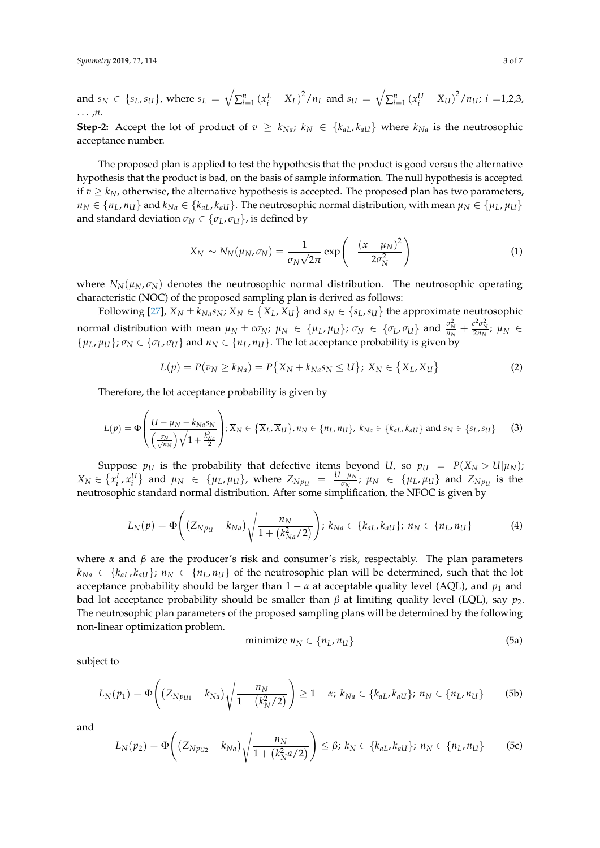and 
$$
s_N \in \{s_L, s_U\}
$$
, where  $s_L = \sqrt{\sum_{i=1}^n (x_i^L - \overline{X}_L)^2 / n_L}$  and  $s_U = \sqrt{\sum_{i=1}^n (x_i^U - \overline{X}_U)^2 / n_U}$ ;  $i = 1, 2, 3, ... , n$ .

**Step-2:** Accept the lot of product of  $v \geq k_{Na}$ ;  $k_N \in \{k_{aL}, k_{aU}\}\$  where  $k_{Na}$  is the neutrosophic acceptance number.

The proposed plan is applied to test the hypothesis that the product is good versus the alternative hypothesis that the product is bad, on the basis of sample information. The null hypothesis is accepted if  $v \geq k_N$ , otherwise, the alternative hypothesis is accepted. The proposed plan has two parameters,  $n_N \in \{n_L, n_U\}$  and  $k_{Na} \in \{k_{aL}, k_{aU}\}$ . The neutrosophic normal distribution, with mean  $\mu_N \in \{\mu_L, \mu_U\}$ and standard deviation  $\sigma_N \in {\sigma_L, \sigma_U}$ , is defined by

$$
X_N \sim N_N(\mu_N, \sigma_N) = \frac{1}{\sigma_N \sqrt{2\pi}} \exp\left(-\frac{(x-\mu_N)^2}{2\sigma_N^2}\right) \tag{1}
$$

where  $N_N(\mu_N, \sigma_N)$  denotes the neutrosophic normal distribution. The neutrosophic operating characteristic (NOC) of the proposed sampling plan is derived as follows:

Following [\[27\]](#page-6-7),  $\overline{X}_N \pm k_{Na}s_N; \overline{X}_N \in \{\overline{X}_L,\overline{X}_U\}$  and  $s_N \in \{s_L,s_U\}$  the approximate neutrosophic normal distribution with mean  $\mu_N \pm c\sigma_N$ ;  $\mu_N \in {\mu_L, \mu_U}$ ;  $\sigma_N \in {\sigma_L, \sigma_U}$  and  $\frac{\sigma_N^2}{n_N} + \frac{c^2 \sigma_N^2}{2n_N}$ ;  $\mu_N \in {\sigma_L, \sigma_U}$  $\{\mu_L, \mu_U\}$ ;  $\sigma_N \in \{\sigma_L, \sigma_U\}$  and  $n_N \in \{n_L, n_U\}$ . The lot acceptance probability is given by

$$
L(p) = P(v_N \ge k_{Na}) = P\{\overline{X}_N + k_{Na} s_N \le U\}; \overline{X}_N \in \{\overline{X}_L, \overline{X}_U\}
$$
 (2)

Therefore, the lot acceptance probability is given by

$$
L(p) = \Phi\left(\frac{U - \mu_N - k_{Na} s_N}{\left(\frac{\sigma_N}{\sqrt{n_N}}\right) \sqrt{1 + \frac{k_{Na}^2}{2}}}\right); \overline{X}_N \in \{\overline{X}_L, \overline{X}_U\}, n_N \in \{n_L, n_U\}, k_{Na} \in \{k_{aL}, k_{aU}\} \text{ and } s_N \in \{s_L, s_U\}
$$
 (3)

Suppose  $p_U$  is the probability that defective items beyond *U*, so  $p_U = P(X_N > U | \mu_N)$ ;  $X_N \in \{x_i^L, x_i^U\}$  and  $\mu_N \in \{\mu_L, \mu_U\}$ , where  $Z_{N p_U} = \frac{U - \mu_N}{\sigma_N}$  $\frac{-\mu_N}{\sigma_N}$ ;  $\mu_N \in {\{\mu_L, \mu_U\}}$  and  $Z_{N p_U}$  is the neutrosophic standard normal distribution. After some simplification, the NFOC is given by

$$
L_N(p) = \Phi\left( (Z_{Np_U} - k_{Na}) \sqrt{\frac{n_N}{1 + (k_{Na}^2/2)}} \right); k_{Na} \in \{k_{aL}, k_{aU}\}; n_N \in \{n_L, n_U\}
$$
 (4)

where  $\alpha$  and  $\beta$  are the producer's risk and consumer's risk, respectably. The plan parameters  $k_{Na} \in \{k_{aL}, k_{aU}\}; n_N \in \{n_L, n_U\}$  of the neutrosophic plan will be determined, such that the lot acceptance probability should be larger than  $1 - \alpha$  at acceptable quality level (AQL), and  $p_1$  and bad lot acceptance probability should be smaller than  $β$  at limiting quality level (LQL), say  $p_2$ . The neutrosophic plan parameters of the proposed sampling plans will be determined by the following non-linear optimization problem.

$$
minimize n_N \in \{n_L, n_U\} \tag{5a}
$$

subject to

$$
L_N(p_1) = \Phi\left( (Z_{Np_{U1}} - k_{Na}) \sqrt{\frac{n_N}{1 + (k_N^2/2)}} \right) \ge 1 - \alpha; \ k_{Na} \in \{k_{aL}, k_{aU}\}; \ n_N \in \{n_L, n_U\}
$$
 (5b)

and

$$
L_N(p_2) = \Phi\left((Z_{Np_{U2}} - k_{Na})\sqrt{\frac{n_N}{1 + (k_N^2 a/2)}}\right) \leq \beta; \ k_N \in \{k_{aL}, k_{aU}\}; \ n_N \in \{n_L, n_U\} \tag{5c}
$$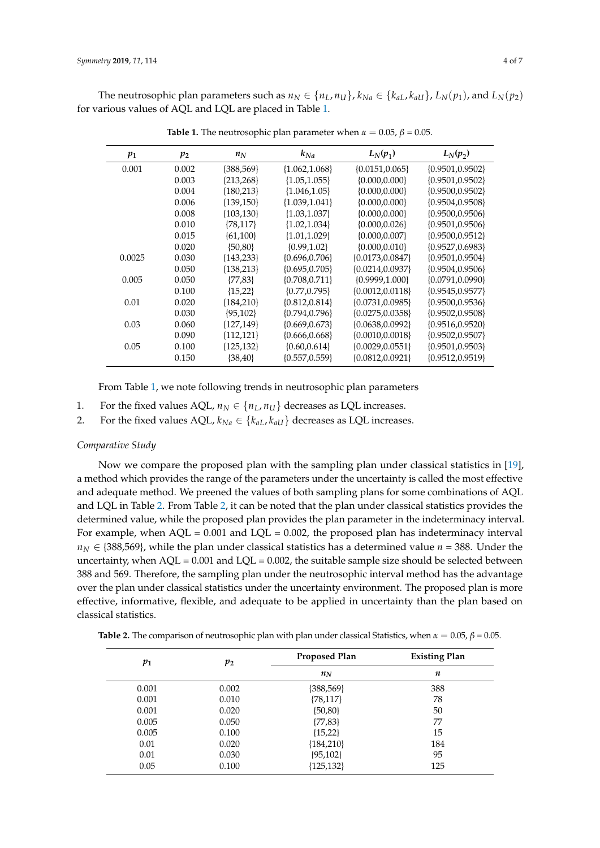<span id="page-3-0"></span>The neutrosophic plan parameters such as  $n_N \in \{n_L, n_U\}$ ,  $k_{Na} \in \{k_{aL}, k_{aU}\}$ ,  $L_N(p_1)$ , and  $L_N(p_2)$ for various values of AQL and LQL are placed in Table [1.](#page-3-0)

| $p_1$  | $p_2$ | $n_N$          | $k_{Na}$           | $L_N(p_1)$           | $L_N(p_2)$         |
|--------|-------|----------------|--------------------|----------------------|--------------------|
| 0.001  | 0.002 | {388,569}      | ${1.062, 1.068}$   | $\{0.0151, 0.065\}$  | ${0.9501, 0.9502}$ |
|        | 0.003 | ${213,268}$    | ${1.05, 1.055}$    | ${0.000, 0.000}$     | ${0.9501, 0.9502}$ |
|        | 0.004 | ${180,213}$    | ${1.046, 1.05}$    | ${0.000, 0.000}$     | ${0.9500, 0.9502}$ |
|        | 0.006 | ${139,150}$    | ${1.039, 1.041}$   | $\{0.000, 0.000\}$   | ${0.9504, 0.9508}$ |
|        | 0.008 | ${103, 130}$   | ${1.03, 1.037}$    | $\{0.000, 0.000\}$   | ${0.9500, 0.9506}$ |
|        | 0.010 | $\{78, 117\}$  | ${1.02, 1.034}$    | $\{0.000, 0.026\}$   | ${0.9501, 0.9506}$ |
|        | 0.015 | $\{61, 100\}$  | ${1.01, 1.029}$    | ${0.000, 0.007}$     | ${0.9500, 0.9512}$ |
|        | 0.020 | ${50,80}$      | ${0.99, 1.02}$     | ${0.000, 0.010}$     | ${0.9527, 0.6983}$ |
| 0.0025 | 0.030 | ${143,233}$    | ${0.696, 0.706}$   | $\{0.0173, 0.0847\}$ | ${0.9501, 0.9504}$ |
|        | 0.050 | ${138,213}$    | ${0.695, 0.705}$   | ${0.0214, 0.0937}$   | ${0.9504, 0.9506}$ |
| 0.005  | 0.050 | $\{77,83\}$    | ${0.708, 0.711}$   | ${0.9999, 1.000}$    | ${0.0791, 0.0990}$ |
|        | 0.100 | ${15,22}$      | ${0.77, 0.795}$    | ${0.0012, 0.0118}$   | ${0.9545, 0.9577}$ |
| 0.01   | 0.020 | ${184,210}$    | ${0.812, 0.814}$   | ${0.0731, 0.0985}$   | ${0.9500, 0.9536}$ |
|        | 0.030 | ${95,102}$     | ${0.794, 0.796}$   | ${0.0275, 0.0358}$   | ${0.9502, 0.9508}$ |
| 0.03   | 0.060 | $\{127, 149\}$ | ${0.669, 0.673}$   | ${0.0638, 0.0992}$   | ${0.9516, 0.9520}$ |
|        | 0.090 | ${112,121}$    | ${0.666, 0.668}$   | ${0.0010, 0.0018}$   | ${0.9502, 0.9507}$ |
| 0.05   | 0.100 | ${125,132}$    | $\{0.60, 0.614\}$  | ${0.0029, 0.0551}$   | ${0.9501, 0.9503}$ |
|        | 0.150 | $\{38,40\}$    | $\{0.557, 0.559\}$ | ${0.0812, 0.0921}$   | ${0.9512, 0.9519}$ |

**Table 1.** The neutrosophic plan parameter when  $\alpha = 0.05$ ,  $\beta = 0.05$ .

From Table [1,](#page-3-0) we note following trends in neutrosophic plan parameters

- 1. For the fixed values AQL,  $n_N \in \{n_L, n_U\}$  decreases as LQL increases.
- 2. For the fixed values AQL,  $k_{Na} \in \{k_{aL}, k_{aU}\}\$  decreases as LQL increases.

#### *Comparative Study*

Now we compare the proposed plan with the sampling plan under classical statistics in [\[19\]](#page-6-3), a method which provides the range of the parameters under the uncertainty is called the most effective and adequate method. We preened the values of both sampling plans for some combinations of AQL and LQL in Table [2.](#page-3-1) From Table [2,](#page-3-1) it can be noted that the plan under classical statistics provides the determined value, while the proposed plan provides the plan parameter in the indeterminacy interval. For example, when  $AQL = 0.001$  and  $LQL = 0.002$ , the proposed plan has indeterminacy interval  $n_N \in \{388,569\}$ , while the plan under classical statistics has a determined value  $n = 388$ . Under the uncertainty, when  $AQL = 0.001$  and  $LQL = 0.002$ , the suitable sample size should be selected between 388 and 569. Therefore, the sampling plan under the neutrosophic interval method has the advantage over the plan under classical statistics under the uncertainty environment. The proposed plan is more effective, informative, flexible, and adequate to be applied in uncertainty than the plan based on classical statistics.

<span id="page-3-1"></span>

| <b>Table 2.</b> The comparison of neutrosophic plan with plan under classical Statistics, when $\alpha = 0.05$ , $\beta = 0.05$ . |  |
|-----------------------------------------------------------------------------------------------------------------------------------|--|
|-----------------------------------------------------------------------------------------------------------------------------------|--|

| $p_1$ | $p_2$ | <b>Proposed Plan</b> | <b>Existing Plan</b> |  |
|-------|-------|----------------------|----------------------|--|
|       |       | $n_N$                | $\boldsymbol{n}$     |  |
| 0.001 | 0.002 | ${388,569}$          | 388                  |  |
| 0.001 | 0.010 | ${78,117}$           | 78                   |  |
| 0.001 | 0.020 | ${50,80}$            | 50                   |  |
| 0.005 | 0.050 | ${77,83}$            | 77                   |  |
| 0.005 | 0.100 | ${15,22}$            | 15                   |  |
| 0.01  | 0.020 | ${184,210}$          | 184                  |  |
| 0.01  | 0.030 | ${95,102}$           | 95                   |  |
| 0.05  | 0.100 | ${125, 132}$         | 125                  |  |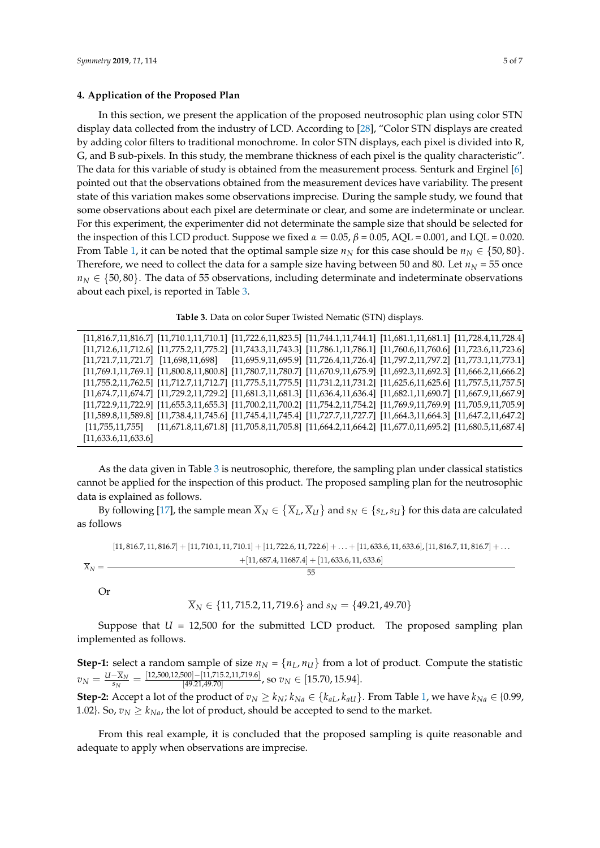#### <span id="page-4-0"></span>**4. Application of the Proposed Plan**

In this section, we present the application of the proposed neutrosophic plan using color STN display data collected from the industry of LCD. According to [\[28\]](#page-6-8), "Color STN displays are created by adding color filters to traditional monochrome. In color STN displays, each pixel is divided into R, G, and B sub-pixels. In this study, the membrane thickness of each pixel is the quality characteristic". The data for this variable of study is obtained from the measurement process. Senturk and Erginel [\[6\]](#page-5-4) pointed out that the observations obtained from the measurement devices have variability. The present state of this variation makes some observations imprecise. During the sample study, we found that some observations about each pixel are determinate or clear, and some are indeterminate or unclear. For this experiment, the experimenter did not determinate the sample size that should be selected for the inspection of this LCD product. Suppose we fixed  $α = 0.05$ ,  $β = 0.05$ , AQL = 0.001, and LQL = 0.020. From Table [1,](#page-3-0) it can be noted that the optimal sample size  $n_N$  for this case should be  $n_N \in \{50, 80\}$ . Therefore, we need to collect the data for a sample size having between 50 and 80. Let  $n<sub>N</sub> = 55$  once  $n_N \in \{50, 80\}$ . The data of 55 observations, including determinate and indeterminate observations about each pixel, is reported in Table [3.](#page-4-1)

**Table 3.** Data on color Super Twisted Nematic (STN) displays.

<span id="page-4-1"></span>

|                     |  | $[11,816.7,11,816.7] [11,710.1,11,710.1] [11,722.6,11,823.5] [11,744.1,11,744.1] [11,681.1,11,681.1] [11,728.4,11,728.4]$                           |  |
|---------------------|--|-----------------------------------------------------------------------------------------------------------------------------------------------------|--|
|                     |  | $[11,712.6,11,712.6]$ $[11,775.2,11,775.2]$ $[11,743.3,11,743.3]$ $[11,786.1,11,786.1]$ $[11,760.6,11,760.6]$ $[11,723.6,11,723.6]$                 |  |
|                     |  | $[11,721.7,11,721.7] \quad [11,698,11,698] \quad [11,695.9,11,695.9] \quad [11,726.4,11,726.4] \quad [11,797.2,11,797.2] \quad [11,773.1,11,773.1]$ |  |
|                     |  | $[11,769.1,11,769.1]$ $[11,800.8,11,800.8]$ $[11,780.7,11,780.7]$ $[11,670.9,11,675.9]$ $[11,692.3,11,692.3]$ $[11,666.2,11,666.2]$                 |  |
|                     |  | $[11,755.2,11,762.5]$ $[11,712.7,11,712.7]$ $[11,775.5,11,775.5]$ $[11,731.2,11,731.2]$ $[11,625.6,11,625.6]$ $[11,757.5,11,757.5]$                 |  |
|                     |  | $[11,674.7,11,674.7]$ $[11,729.2,11,729.2]$ $[11,681.3,11,681.3]$ $[11,636.4,11,636.4]$ $[11,682.1,11,690.7]$ $[11,667.9,11,667.9]$                 |  |
|                     |  | $[11,722.9,11,722.9]$ $[11,655.3,11,655.3]$ $[11,700.2,11,700.2]$ $[11,754.2,11,754.2]$ $[11,769.9,11,769.9]$ $[11,705.9,11,705.9]$                 |  |
|                     |  | $[11,589.8,11,589.8]$ $[11,738.4,11,745.6]$ $[11,745.4,11,745.4]$ $[11,727.7,11,727.7]$ $[11,664.3,11,664.3]$ $[11,647.2,11,647.2]$                 |  |
|                     |  | $[11,755,11,755]$ $[11,671.8,11,671.8]$ $[11,705.8,11,705.8]$ $[11,664.2,11,664.2]$ $[11,677.0,11,695.2]$ $[11,680.5,11,687.4]$                     |  |
| [11,633.6,11,633.6] |  |                                                                                                                                                     |  |

As the data given in Table [3](#page-4-1) is neutrosophic, therefore, the sampling plan under classical statistics cannot be applied for the inspection of this product. The proposed sampling plan for the neutrosophic data is explained as follows.

By following [\[17\]](#page-6-1), the sample mean  $\overline{X}_N\in\left\{\overline{X}_L,\overline{X}_U\right\}$  and  $s_N\in\{s_L,s_U\}$  for this data are calculated as follows

$$
[11,816.7,11,816.7]+[11,710.1,11,710.1]+[11,722.6,11,722.6]+\ldots+[11,633.6,11,633.6]\tag{11,816.7,11,816.7}+\ldots
$$

$$
\overline{X}_N=\frac{+[11,687.4,11687.4]+[11,633.6,11,633.6]}{55}
$$

Or

$$
\overline{X}_N \in \{11, 715.2, 11, 719.6\}
$$
 and  $s_N = \{49.21, 49.70\}$ 

Suppose that  $U = 12,500$  for the submitted LCD product. The proposed sampling plan implemented as follows.

**Step-1:** select a random sample of size  $n_N = \{n_L, n_U\}$  from a lot of product. Compute the statistic  $v_N = \frac{U - \overline{X}_N}{s_N}$  $\frac{-\overline{X}_N}{s_N} = \frac{[12,\!500,\!12,\!500] - [11,\!715.2,\!11,\!719.6]}{[49.21,\!49.70]}$  $\frac{[000]-[11,713.2,11,719.6]}{[49.21,49.70]}$ , so  $v_N \in [15.70, 15.94]$ .

**Step-2:** Accept a lot of the product of  $v_N \geq k_N$ ;  $k_{Na} \in \{k_{aL}, k_{aU}\}$ . From Table [1,](#page-3-0) we have  $k_{Na} \in \{0.99,$ 1.02}. So,  $v_N \ge k_{Na}$ , the lot of product, should be accepted to send to the market.

From this real example, it is concluded that the proposed sampling is quite reasonable and adequate to apply when observations are imprecise.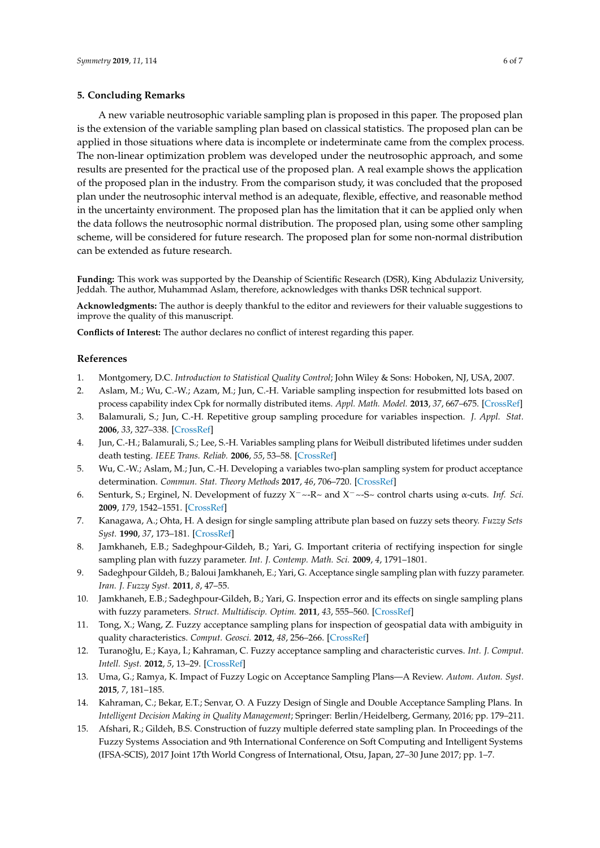## <span id="page-5-14"></span>**5. Concluding Remarks**

A new variable neutrosophic variable sampling plan is proposed in this paper. The proposed plan is the extension of the variable sampling plan based on classical statistics. The proposed plan can be applied in those situations where data is incomplete or indeterminate came from the complex process. The non-linear optimization problem was developed under the neutrosophic approach, and some results are presented for the practical use of the proposed plan. A real example shows the application of the proposed plan in the industry. From the comparison study, it was concluded that the proposed plan under the neutrosophic interval method is an adequate, flexible, effective, and reasonable method in the uncertainty environment. The proposed plan has the limitation that it can be applied only when the data follows the neutrosophic normal distribution. The proposed plan, using some other sampling scheme, will be considered for future research. The proposed plan for some non-normal distribution can be extended as future research.

**Funding:** This work was supported by the Deanship of Scientific Research (DSR), King Abdulaziz University, Jeddah. The author, Muhammad Aslam, therefore, acknowledges with thanks DSR technical support.

**Acknowledgments:** The author is deeply thankful to the editor and reviewers for their valuable suggestions to improve the quality of this manuscript.

**Conflicts of Interest:** The author declares no conflict of interest regarding this paper.

## **References**

- <span id="page-5-0"></span>1. Montgomery, D.C. *Introduction to Statistical Quality Control*; John Wiley & Sons: Hoboken, NJ, USA, 2007.
- <span id="page-5-1"></span>2. Aslam, M.; Wu, C.-W.; Azam, M.; Jun, C.-H. Variable sampling inspection for resubmitted lots based on process capability index Cpk for normally distributed items. *Appl. Math. Model.* **2013**, *37*, 667–675. [\[CrossRef\]](http://dx.doi.org/10.1016/j.apm.2012.02.048)
- <span id="page-5-2"></span>3. Balamurali, S.; Jun, C.-H. Repetitive group sampling procedure for variables inspection. *J. Appl. Stat.* **2006**, *33*, 327–338. [\[CrossRef\]](http://dx.doi.org/10.1080/02664760500446010)
- 4. Jun, C.-H.; Balamurali, S.; Lee, S.-H. Variables sampling plans for Weibull distributed lifetimes under sudden death testing. *IEEE Trans. Reliab.* **2006**, *55*, 53–58. [\[CrossRef\]](http://dx.doi.org/10.1109/TR.2005.863802)
- <span id="page-5-3"></span>5. Wu, C.-W.; Aslam, M.; Jun, C.-H. Developing a variables two-plan sampling system for product acceptance determination. *Commun. Stat. Theory Methods* **2017**, *46*, 706–720. [\[CrossRef\]](http://dx.doi.org/10.1080/03610926.2015.1004092)
- <span id="page-5-4"></span>6. Senturk, S.; Erginel, N. Development of fuzzy X−~-R~ and X−~-S~ control charts using α-cuts. *Inf. Sci.* **2009**, *179*, 1542–1551. [\[CrossRef\]](http://dx.doi.org/10.1016/j.ins.2008.09.022)
- <span id="page-5-5"></span>7. Kanagawa, A.; Ohta, H. A design for single sampling attribute plan based on fuzzy sets theory. *Fuzzy Sets Syst.* **1990**, *37*, 173–181. [\[CrossRef\]](http://dx.doi.org/10.1016/0165-0114(90)90040-D)
- <span id="page-5-6"></span>8. Jamkhaneh, E.B.; Sadeghpour-Gildeh, B.; Yari, G. Important criteria of rectifying inspection for single sampling plan with fuzzy parameter. *Int. J. Contemp. Math. Sci.* **2009**, *4*, 1791–1801.
- <span id="page-5-7"></span>9. Sadeghpour Gildeh, B.; Baloui Jamkhaneh, E.; Yari, G. Acceptance single sampling plan with fuzzy parameter. *Iran. J. Fuzzy Syst.* **2011**, *8*, 47–55.
- <span id="page-5-8"></span>10. Jamkhaneh, E.B.; Sadeghpour-Gildeh, B.; Yari, G. Inspection error and its effects on single sampling plans with fuzzy parameters. *Struct. Multidiscip. Optim.* **2011**, *43*, 555–560. [\[CrossRef\]](http://dx.doi.org/10.1007/s00158-010-0579-6)
- <span id="page-5-9"></span>11. Tong, X.; Wang, Z. Fuzzy acceptance sampling plans for inspection of geospatial data with ambiguity in quality characteristics. *Comput. Geosci.* **2012**, *48*, 256–266. [\[CrossRef\]](http://dx.doi.org/10.1016/j.cageo.2012.01.013)
- <span id="page-5-10"></span>12. Turanoğlu, E.; Kaya, İ.; Kahraman, C. Fuzzy acceptance sampling and characteristic curves. *Int. J. Comput. Intell. Syst.* **2012**, *5*, 13–29. [\[CrossRef\]](http://dx.doi.org/10.1080/18756891.2012.670518)
- <span id="page-5-11"></span>13. Uma, G.; Ramya, K. Impact of Fuzzy Logic on Acceptance Sampling Plans—A Review. *Autom. Auton. Syst.* **2015**, *7*, 181–185.
- <span id="page-5-12"></span>14. Kahraman, C.; Bekar, E.T.; Senvar, O. A Fuzzy Design of Single and Double Acceptance Sampling Plans. In *Intelligent Decision Making in Quality Management*; Springer: Berlin/Heidelberg, Germany, 2016; pp. 179–211.
- <span id="page-5-13"></span>15. Afshari, R.; Gildeh, B.S. Construction of fuzzy multiple deferred state sampling plan. In Proceedings of the Fuzzy Systems Association and 9th International Conference on Soft Computing and Intelligent Systems (IFSA-SCIS), 2017 Joint 17th World Congress of International, Otsu, Japan, 27–30 June 2017; pp. 1–7.